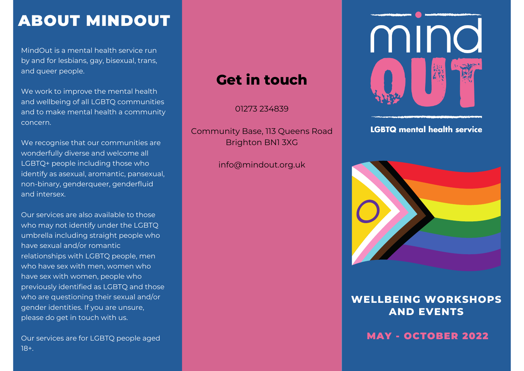# ABOUT MINDOUT

MindOut is a mental health service run by and for lesbians, gay, bisexual, trans, and queer people.

We work to improve the mental health and wellbeing of all LGBTQ communities and to make mental health a community concern.

We recognise that our communities are wonderfully diverse and welcome all LGBTQ+ people including those who identify as asexual, aromantic, pansexual, non-binary, genderqueer, genderfluid and intersex.

Our services are also available to those who may not identify under the LGBTQ umbrella including straight people who have sexual and/or romantic relationships with LGBTQ people, men who have sex with men, women who have sex with women, people who previously identified as LGBTQ and those who are questioning their sexual and/or gender identities. If you are unsure, please do get in touch with us.

Our services are for LGBTQ people aged 18+.

# **Get in touch**

01273 [234839](https://mindout.org.uk/#)

Community Base, 113 Queens Road Brighton BN1 3XG

[info@mindout.org.uk](mailto:info@mindout.org.uk)



**LGBTQ mental health service** 



#### **WELLBEING WORKSHOPS AND EVENTS**

MAY - OCTOBER 2022